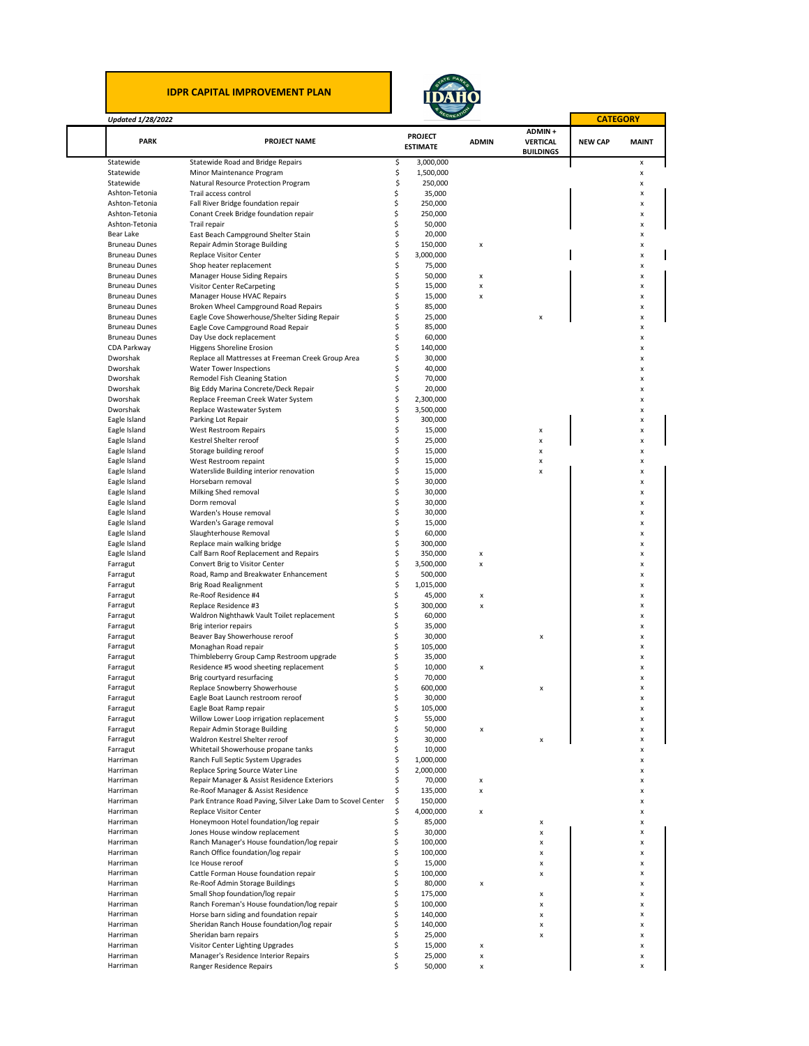## **IDPR CAPITAL IMPROVEMENT PLAN**



**CATEGORY**

٦

 $\mathbf{r}$ 

## *Updated 1/28/2022*

|                                              |                                                                                      |          | <b>PROJECT</b>   |              | ADMIN+           |                |              |
|----------------------------------------------|--------------------------------------------------------------------------------------|----------|------------------|--------------|------------------|----------------|--------------|
| PARK                                         | <b>PROJECT NAME</b>                                                                  |          | <b>ESTIMATE</b>  | <b>ADMIN</b> | <b>VERTICAL</b>  | <b>NEW CAP</b> | <b>MAINT</b> |
|                                              |                                                                                      |          |                  |              | <b>BUILDINGS</b> |                |              |
| Statewide                                    | Statewide Road and Bridge Repairs                                                    | \$       | 3,000,000        |              |                  |                | x            |
| Statewide                                    | Minor Maintenance Program                                                            | \$       | 1,500,000        |              |                  |                | X            |
| Statewide                                    | Natural Resource Protection Program                                                  | \$       | 250,000          |              |                  |                | x            |
| Ashton-Tetonia                               | Trail access control                                                                 | \$       | 35,000           |              |                  |                | x            |
| Ashton-Tetonia                               | Fall River Bridge foundation repair                                                  | \$       | 250,000          |              |                  |                | x            |
| Ashton-Tetonia                               | Conant Creek Bridge foundation repair                                                | \$       | 250,000          |              |                  |                | x            |
| Ashton-Tetonia                               | Trail repair                                                                         | \$       | 50,000           |              |                  |                | X            |
| Bear Lake                                    | East Beach Campground Shelter Stain                                                  | \$       | 20,000           |              |                  |                | X            |
| <b>Bruneau Dunes</b>                         | Repair Admin Storage Building                                                        | \$       | 150,000          | x            |                  |                | x            |
| <b>Bruneau Dunes</b>                         | Replace Visitor Center                                                               | \$       | 3,000,000        |              |                  |                | x            |
| <b>Bruneau Dunes</b>                         | Shop heater replacement                                                              | \$       | 75,000           |              |                  |                | x            |
| <b>Bruneau Dunes</b>                         | Manager House Siding Repairs                                                         | \$       | 50,000           | x            |                  |                | x            |
| <b>Bruneau Dunes</b>                         | Visitor Center ReCarpeting                                                           | \$       | 15,000           | x            |                  |                | x            |
| <b>Bruneau Dunes</b>                         | Manager House HVAC Repairs                                                           | \$<br>\$ | 15,000           | x            |                  |                | x            |
| <b>Bruneau Dunes</b><br><b>Bruneau Dunes</b> | Broken Wheel Campground Road Repairs<br>Eagle Cove Showerhouse/Shelter Siding Repair | \$       | 85,000           |              | X                |                | X<br>X       |
| <b>Bruneau Dunes</b>                         |                                                                                      | \$       | 25,000<br>85,000 |              |                  |                | X            |
| <b>Bruneau Dunes</b>                         | Eagle Cove Campground Road Repair<br>Day Use dock replacement                        | \$       | 60,000           |              |                  |                | x            |
| CDA Parkway                                  | <b>Higgens Shoreline Erosion</b>                                                     | \$       | 140,000          |              |                  |                | x            |
| Dworshak                                     | Replace all Mattresses at Freeman Creek Group Area                                   | \$       | 30,000           |              |                  |                | X            |
| Dworshak                                     | Water Tower Inspections                                                              | \$       | 40,000           |              |                  |                | x            |
| Dworshak                                     | Remodel Fish Cleaning Station                                                        | \$       | 70,000           |              |                  |                | X            |
| Dworshak                                     | Big Eddy Marina Concrete/Deck Repair                                                 | \$       | 20,000           |              |                  |                | x            |
| Dworshak                                     | Replace Freeman Creek Water System                                                   | \$       | 2,300,000        |              |                  |                | x            |
| Dworshak                                     | Replace Wastewater System                                                            | \$       | 3,500,000        |              |                  |                | x            |
| Eagle Island                                 | Parking Lot Repair                                                                   | \$       | 300,000          |              |                  |                | X            |
| Eagle Island                                 | West Restroom Repairs                                                                | \$       | 15,000           |              | x                |                | X            |
| Eagle Island                                 | Kestrel Shelter reroof                                                               | \$       | 25,000           |              | x                |                | x            |
| Eagle Island                                 | Storage building reroof                                                              | \$       | 15,000           |              | x                |                | x            |
| Eagle Island                                 | West Restroom repaint                                                                | \$       | 15,000           |              | $\pmb{\times}$   |                | x            |
| Eagle Island                                 | Waterslide Building interior renovation                                              | \$       | 15,000           |              | $\pmb{\times}$   |                | x            |
| Eagle Island                                 | Horsebarn removal                                                                    | \$       | 30,000           |              |                  |                | X            |
| Eagle Island                                 | Milking Shed removal                                                                 | \$       | 30,000           |              |                  |                | x            |
| Eagle Island                                 | Dorm removal                                                                         | \$       | 30,000           |              |                  |                | x            |
| Eagle Island                                 | Warden's House removal                                                               | \$       | 30,000           |              |                  |                | X            |
| Eagle Island                                 | Warden's Garage removal                                                              | \$       | 15,000           |              |                  |                | x            |
| Eagle Island                                 | Slaughterhouse Removal                                                               | \$       | 60,000           |              |                  |                | x            |
| Eagle Island                                 | Replace main walking bridge                                                          | \$       | 300,000          |              |                  |                | x            |
| Eagle Island                                 | Calf Barn Roof Replacement and Repairs                                               | \$       | 350,000          | X            |                  |                | x            |
| Farragut                                     | Convert Brig to Visitor Center                                                       | \$       | 3,500,000        | x            |                  |                | x            |
| Farragut                                     | Road, Ramp and Breakwater Enhancement                                                | \$       | 500,000          |              |                  |                | x            |
| Farragut                                     | <b>Brig Road Realignment</b>                                                         | \$       | 1,015,000        |              |                  |                | X            |
| Farragut                                     | Re-Roof Residence #4                                                                 | \$       | 45,000           | x            |                  |                | x            |
| Farragut                                     | Replace Residence #3                                                                 | \$       | 300,000          | x            |                  |                | x            |
| Farragut                                     | Waldron Nighthawk Vault Toilet replacement                                           | Ś        | 60,000           |              |                  |                | x            |
| Farragut                                     | Brig interior repairs                                                                | \$       | 35,000           |              |                  |                | x            |
| Farragut                                     | Beaver Bay Showerhouse reroof                                                        | \$       | 30,000           |              | X                |                | x            |
| Farragut                                     | Monaghan Road repair                                                                 | \$       | 105,000          |              |                  |                | x            |
| Farragut                                     | Thimbleberry Group Camp Restroom upgrade                                             | \$       | 35,000           |              |                  |                | x            |
| Farragut                                     | Residence #5 wood sheeting replacement                                               | \$       | 10,000           | x            |                  |                | x            |
| Farragut                                     | Brig courtyard resurfacing                                                           | \$       | 70,000           |              |                  |                | x            |
| Farragut                                     | Replace Snowberry Showerhouse                                                        | Ś        | 600,000          |              | x                |                | x            |
| Farragut                                     | Eagle Boat Launch restroom reroof                                                    | \$       | 30,000           |              |                  |                | X            |
| Farragut                                     | Eagle Boat Ramp repair                                                               | Ś        | 105,000          |              |                  |                | x            |
| Farragut                                     | Willow Lower Loop irrigation replacement                                             | Ş        | 55,000           |              |                  |                |              |
| Farragut                                     | Repair Admin Storage Building                                                        | \$       | 50,000           | X            |                  |                | X            |
| Farragut                                     | Waldron Kestrel Shelter reroof                                                       | \$       | 30,000           |              | X                |                | X            |
| Farragut                                     | Whitetail Showerhouse propane tanks                                                  | \$       | 10,000           |              |                  |                | X            |
| Harriman                                     | Ranch Full Septic System Upgrades                                                    | \$       | 1,000,000        |              |                  |                | x            |
| Harriman                                     | Replace Spring Source Water Line                                                     | \$       | 2,000,000        |              |                  |                | X            |
| Harriman                                     | Repair Manager & Assist Residence Exteriors                                          | \$       | 70,000           | x            |                  |                | X            |
| Harriman                                     | Re-Roof Manager & Assist Residence                                                   | \$       | 135,000          | X            |                  |                | X            |
| Harriman                                     | Park Entrance Road Paving, Silver Lake Dam to Scovel Center                          | \$       | 150,000          |              |                  |                | X            |
| Harriman                                     | Replace Visitor Center                                                               | \$       | 4,000,000        | x            |                  |                | x            |
| Harriman                                     | Honeymoon Hotel foundation/log repair                                                | \$       | 85,000           |              | x                |                | X            |
| Harriman                                     | Jones House window replacement                                                       | \$       | 30,000           |              | X                |                | X            |
| Harriman                                     | Ranch Manager's House foundation/log repair                                          | \$       | 100,000          |              | X                |                | X            |
| Harriman                                     | Ranch Office foundation/log repair                                                   | \$       | 100,000          |              | x                |                | x            |
| Harriman                                     | Ice House reroof                                                                     | \$       | 15,000           |              | X                |                | x            |
| Harriman                                     | Cattle Forman House foundation repair                                                | \$       | 100,000          |              | X                |                | X            |
| Harriman                                     | Re-Roof Admin Storage Buildings                                                      | \$       | 80,000           | x            |                  |                | x            |
| Harriman                                     | Small Shop foundation/log repair                                                     | Ś        | 175,000          |              | X                |                | X            |
| Harriman                                     | Ranch Foreman's House foundation/log repair                                          | \$       | 100,000          |              | x                |                | x            |
| Harriman                                     | Horse barn siding and foundation repair                                              | \$       | 140,000          |              | X                |                | x            |
| Harriman                                     | Sheridan Ranch House foundation/log repair                                           | Ś        | 140,000          |              | X                |                | X            |
| Harriman                                     | Sheridan barn repairs                                                                | \$       | 25,000           |              | X                |                | X            |
| Harriman                                     | Visitor Center Lighting Upgrades                                                     | \$       | 15,000           | x            |                  |                | X            |
| Harriman                                     | Manager's Residence Interior Repairs                                                 | \$       | 25,000           | x            |                  |                | x            |
| Harriman                                     | Ranger Residence Repairs                                                             | \$       | 50,000           | x            |                  |                | x            |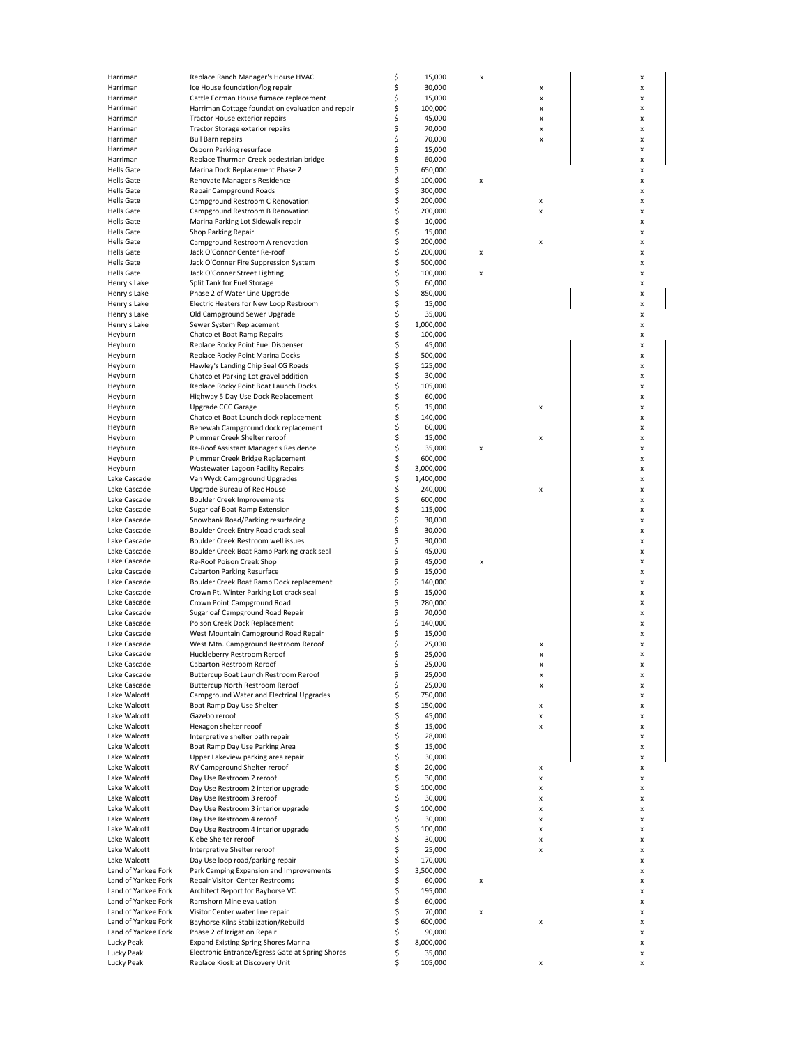| Harriman                 | Replace Ranch Manager's House HVAC                                                  | \$       | 15,000            | x |        | x      |
|--------------------------|-------------------------------------------------------------------------------------|----------|-------------------|---|--------|--------|
| Harriman                 | Ice House foundation/log repair                                                     | \$       | 30,000            |   | x      | X      |
| Harriman                 | Cattle Forman House furnace replacement                                             | \$       | 15,000            |   | X      | x      |
| Harriman                 | Harriman Cottage foundation evaluation and repair                                   | \$       | 100,000           |   | x      | x      |
| Harriman                 | Tractor House exterior repairs                                                      | \$       | 45,000            |   | x      | x      |
| Harriman                 | Tractor Storage exterior repairs                                                    | \$       | 70,000            |   | x      | x      |
| Harriman                 | <b>Bull Barn repairs</b>                                                            | \$       | 70,000            |   | x      | X      |
| Harriman                 | Osborn Parking resurface                                                            | \$       | 15,000            |   |        | x      |
| Harriman                 | Replace Thurman Creek pedestrian bridge                                             | \$       | 60,000            |   |        | x      |
| <b>Hells Gate</b>        | Marina Dock Replacement Phase 2                                                     | \$       | 650,000           |   |        | x      |
| <b>Hells Gate</b>        | Renovate Manager's Residence                                                        | \$       | 100,000           | X |        | x      |
|                          |                                                                                     | \$       | 300,000           |   |        |        |
| Hells Gate               | Repair Campground Roads                                                             | \$       |                   |   |        | x      |
| Hells Gate               | Campground Restroom C Renovation                                                    |          | 200,000           |   | X      | x      |
| <b>Hells Gate</b>        | Campground Restroom B Renovation                                                    | \$       | 200,000           |   | x      | x      |
| <b>Hells Gate</b>        | Marina Parking Lot Sidewalk repair                                                  | \$       | 10,000            |   |        | x      |
| Hells Gate               | Shop Parking Repair                                                                 | \$       | 15,000            |   |        | x      |
| <b>Hells Gate</b>        | Campground Restroom A renovation                                                    | \$       | 200,000           |   | X      | x      |
| Hells Gate               | Jack O'Connor Center Re-roof                                                        | \$       | 200,000           | x |        | x      |
| <b>Hells Gate</b>        | Jack O'Conner Fire Suppression System                                               | \$       | 500,000           |   |        | x      |
| <b>Hells Gate</b>        | Jack O'Conner Street Lighting                                                       | \$       | 100,000           | X |        | x      |
| Henry's Lake             | Split Tank for Fuel Storage                                                         | \$       | 60,000            |   |        | x      |
| Henry's Lake             | Phase 2 of Water Line Upgrade                                                       | \$       | 850,000           |   |        | x      |
| Henry's Lake             | Electric Heaters for New Loop Restroom                                              | \$       | 15,000            |   |        | x      |
| Henry's Lake             | Old Campground Sewer Upgrade                                                        | \$       | 35,000            |   |        | x      |
| Henry's Lake             | Sewer System Replacement                                                            | \$       | 1,000,000         |   |        | x      |
| Heyburn                  | Chatcolet Boat Ramp Repairs                                                         | \$       | 100,000           |   |        | x      |
| Heyburn                  |                                                                                     | \$       | 45,000            |   |        | x      |
|                          | Replace Rocky Point Fuel Dispenser                                                  |          |                   |   |        |        |
| Heyburn                  | Replace Rocky Point Marina Docks                                                    | \$       | 500,000           |   |        | x      |
| Heyburn                  | Hawley's Landing Chip Seal CG Roads                                                 | \$       | 125,000           |   |        | x      |
| Heyburn                  | Chatcolet Parking Lot gravel addition                                               | \$       | 30,000            |   |        | x      |
| Heyburn                  | Replace Rocky Point Boat Launch Docks                                               | \$       | 105,000           |   |        | x      |
| Heyburn                  | Highway 5 Day Use Dock Replacement                                                  | \$       | 60,000            |   |        | x      |
| Heyburn                  | Upgrade CCC Garage                                                                  | \$       | 15,000            |   | x      | x      |
| Heyburn                  | Chatcolet Boat Launch dock replacement                                              | \$       | 140,000           |   |        | x      |
| Heyburn                  | Benewah Campground dock replacement                                                 | \$       | 60,000            |   |        | x      |
| Heyburn                  | Plummer Creek Shelter reroof                                                        | \$       | 15,000            |   | X      | x      |
| Heyburn                  | Re-Roof Assistant Manager's Residence                                               | \$       | 35,000            | x |        | x      |
| Heyburn                  | Plummer Creek Bridge Replacement                                                    | \$       | 600,000           |   |        | x      |
| Heyburn                  | Wastewater Lagoon Facility Repairs                                                  | \$       | 3,000,000         |   |        | x      |
| Lake Cascade             | Van Wyck Campground Upgrades                                                        | \$       | 1,400,000         |   |        | X      |
| Lake Cascade             | Upgrade Bureau of Rec House                                                         | \$       | 240,000           |   |        | x      |
|                          |                                                                                     | \$       |                   |   | X      |        |
| Lake Cascade             | <b>Boulder Creek Improvements</b>                                                   |          | 600,000           |   |        | x      |
| Lake Cascade             | Sugarloaf Boat Ramp Extension                                                       | \$       | 115,000           |   |        | x      |
| Lake Cascade             | Snowbank Road/Parking resurfacing                                                   | \$       | 30,000            |   |        | x      |
| Lake Cascade             | Boulder Creek Entry Road crack seal                                                 | \$       | 30,000            |   |        | x      |
| Lake Cascade             | Boulder Creek Restroom well issues                                                  | \$       | 30,000            |   |        | x      |
| Lake Cascade             | Boulder Creek Boat Ramp Parking crack seal                                          | \$       | 45,000            |   |        | x      |
| Lake Cascade             | Re-Roof Poison Creek Shop                                                           | \$       | 45,000            | X |        | x      |
| Lake Cascade             | Cabarton Parking Resurface                                                          | \$       | 15,000            |   |        | x      |
| Lake Cascade             | Boulder Creek Boat Ramp Dock replacement                                            | \$       | 140,000           |   |        | x      |
| Lake Cascade             | Crown Pt. Winter Parking Lot crack seal                                             | \$       | 15,000            |   |        | x      |
| Lake Cascade             | Crown Point Campground Road                                                         | \$       | 280,000           |   |        | x      |
| Lake Cascade             | Sugarloaf Campground Road Repair                                                    | \$       | 70,000            |   |        | x      |
| Lake Cascade             | Poison Creek Dock Replacement                                                       | \$       | 140,000           |   |        | x      |
| Lake Cascade             | West Mountain Campground Road Repair                                                | \$       | 15,000            |   |        | x      |
| Lake Cascade             | West Mtn. Campground Restroom Reroof                                                | \$       | 25,000            |   |        | x      |
| Lake Cascade             | Huckleberry Restroom Reroof                                                         | \$       | 25,000            |   | x<br>X | x      |
|                          | Cabarton Restroom Reroof                                                            |          |                   |   |        |        |
| Lake Cascade             |                                                                                     | Ś        | 25,000            |   |        |        |
| Lake Cascade             | Buttercup Boat Launch Restroom Reroof                                               | \$       | 25,000            |   | X      | x      |
| Lake Cascade             | Buttercup North Restroom Reroof                                                     | \$       | 25,000            |   | x      | x      |
| Lake Walcott             | Campground Water and Electrical Upgrades                                            | \$       | 750,000           |   |        | x      |
| Lake Walcott             | Boat Ramp Day Use Shelter                                                           | \$       | 150,000           |   | x      | x      |
| Lake Walcott             | Gazebo reroof                                                                       | \$       | 45,000            |   | x      | x      |
| Lake Walcott             | Hexagon shelter reoof                                                               | \$       | 15,000            |   | x      | x      |
| Lake Walcott             | Interpretive shelter path repair                                                    | \$       | 28,000            |   |        | x      |
| Lake Walcott             | Boat Ramp Day Use Parking Area                                                      | \$       | 15,000            |   |        | x      |
| Lake Walcott             | Upper Lakeview parking area repair                                                  | \$       | 30,000            |   |        | x      |
| Lake Walcott             | RV Campground Shelter reroof                                                        | \$       | 20,000            |   | x      | x      |
| Lake Walcott             | Day Use Restroom 2 reroof                                                           | \$       | 30,000            |   | x      | x      |
| Lake Walcott             | Day Use Restroom 2 interior upgrade                                                 | \$       | 100,000           |   | x      | x      |
| Lake Walcott             | Day Use Restroom 3 reroof                                                           | \$       | 30,000            |   | x      | x      |
|                          |                                                                                     | \$       |                   |   |        |        |
| Lake Walcott             | Day Use Restroom 3 interior upgrade                                                 |          | 100,000           |   | x      | x      |
| Lake Walcott             | Day Use Restroom 4 reroof                                                           | \$       | 30,000            |   | x      | x      |
| Lake Walcott             | Day Use Restroom 4 interior upgrade                                                 | \$       | 100,000           |   | x      | X      |
| Lake Walcott             | Klebe Shelter reroof                                                                | \$       | 30,000            |   | X      | x      |
| Lake Walcott             | Interpretive Shelter reroof                                                         | \$       | 25,000            |   | X      | x      |
| Lake Walcott             | Day Use loop road/parking repair                                                    | \$       | 170,000           |   |        | X      |
| Land of Yankee Fork      | Park Camping Expansion and Improvements                                             | \$       | 3,500,000         |   |        | x      |
| Land of Yankee Fork      | Repair Visitor Center Restrooms                                                     | \$       | 60,000            | X |        | x      |
| Land of Yankee Fork      | Architect Report for Bayhorse VC                                                    | \$       | 195,000           |   |        | x      |
| Land of Yankee Fork      | Ramshorn Mine evaluation                                                            | \$       | 60,000            |   |        | x      |
| Land of Yankee Fork      | Visitor Center water line repair                                                    | \$       | 70,000            | X |        | x      |
| Land of Yankee Fork      | Bayhorse Kilns Stabilization/Rebuild                                                | \$       | 600,000           |   | x      | x      |
| Land of Yankee Fork      | Phase 2 of Irrigation Repair                                                        | \$       | 90,000            |   |        | x      |
| Lucky Peak               | <b>Expand Existing Spring Shores Marina</b>                                         | \$       | 8,000,000         |   |        | x      |
|                          |                                                                                     |          |                   |   |        |        |
|                          |                                                                                     |          |                   |   |        |        |
| Lucky Peak<br>Lucky Peak | Electronic Entrance/Egress Gate at Spring Shores<br>Replace Kiosk at Discovery Unit | \$<br>\$ | 35,000<br>105,000 |   | X      | x<br>x |